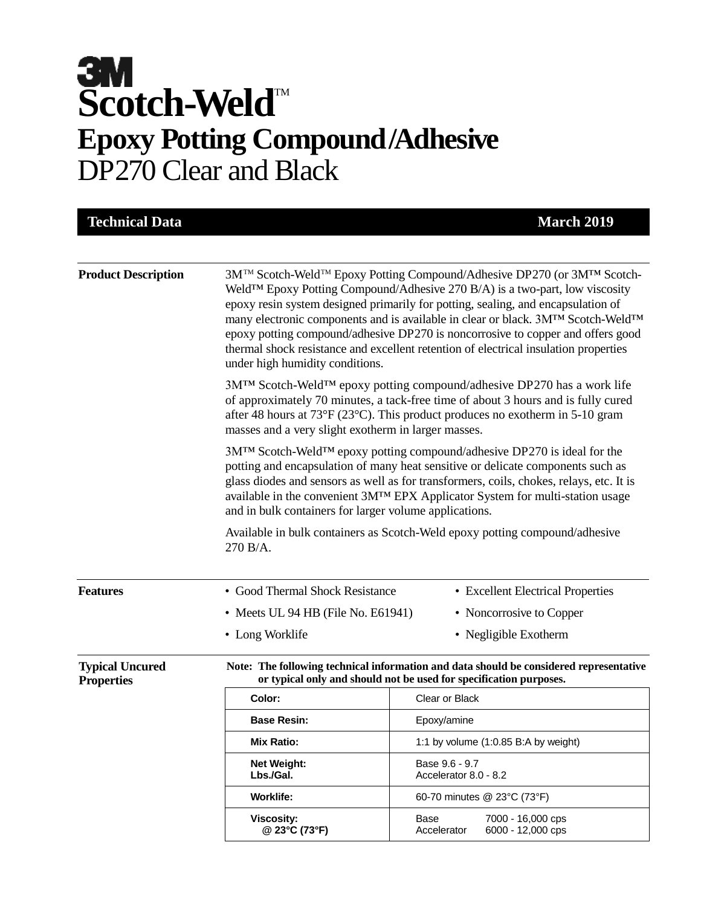# **Scotch-Weld<sup>™</sup> Epoxy Potting Compound/Adhesive** DP270 Clear and Black

| <b>Technical Data</b>                       |                                                                                                                                                                                                                                                                                                                                                                                                                                                                                                                                                         | <b>March 2019</b>                                                                                                                                            |  |
|---------------------------------------------|---------------------------------------------------------------------------------------------------------------------------------------------------------------------------------------------------------------------------------------------------------------------------------------------------------------------------------------------------------------------------------------------------------------------------------------------------------------------------------------------------------------------------------------------------------|--------------------------------------------------------------------------------------------------------------------------------------------------------------|--|
| <b>Product Description</b>                  | 3M™ Scotch-Weld™ Epoxy Potting Compound/Adhesive DP270 (or 3M™ Scotch-<br>Weld <sup>TM</sup> Epoxy Potting Compound/Adhesive 270 B/A) is a two-part, low viscosity<br>epoxy resin system designed primarily for potting, sealing, and encapsulation of<br>many electronic components and is available in clear or black. 3M™ Scotch-Weld™<br>epoxy potting compound/adhesive DP270 is noncorrosive to copper and offers good<br>thermal shock resistance and excellent retention of electrical insulation properties<br>under high humidity conditions. |                                                                                                                                                              |  |
|                                             | 3M™ Scotch-Weld™ epoxy potting compound/adhesive DP270 has a work life<br>of approximately 70 minutes, a tack-free time of about 3 hours and is fully cured<br>after 48 hours at 73°F (23°C). This product produces no exotherm in 5-10 gram<br>masses and a very slight exotherm in larger masses.                                                                                                                                                                                                                                                     |                                                                                                                                                              |  |
|                                             | 3M <sup>™</sup> Scotch-Weld <sup>™</sup> epoxy potting compound/adhesive DP270 is ideal for the<br>potting and encapsulation of many heat sensitive or delicate components such as<br>glass diodes and sensors as well as for transformers, coils, chokes, relays, etc. It is<br>available in the convenient 3MTM EPX Applicator System for multi-station usage<br>and in bulk containers for larger volume applications.                                                                                                                               |                                                                                                                                                              |  |
|                                             | 270 B/A.                                                                                                                                                                                                                                                                                                                                                                                                                                                                                                                                                | Available in bulk containers as Scotch-Weld epoxy potting compound/adhesive                                                                                  |  |
| <b>Features</b>                             | • Good Thermal Shock Resistance                                                                                                                                                                                                                                                                                                                                                                                                                                                                                                                         | • Excellent Electrical Properties                                                                                                                            |  |
|                                             | • Meets UL 94 HB (File No. E61941)                                                                                                                                                                                                                                                                                                                                                                                                                                                                                                                      | • Noncorrosive to Copper                                                                                                                                     |  |
|                                             | • Long Worklife                                                                                                                                                                                                                                                                                                                                                                                                                                                                                                                                         | • Negligible Exotherm                                                                                                                                        |  |
| <b>Typical Uncured</b><br><b>Properties</b> |                                                                                                                                                                                                                                                                                                                                                                                                                                                                                                                                                         | Note: The following technical information and data should be considered representative<br>or typical only and should not be used for specification purposes. |  |
|                                             | Color:                                                                                                                                                                                                                                                                                                                                                                                                                                                                                                                                                  | Clear or Black                                                                                                                                               |  |
|                                             | <b>Base Resin:</b>                                                                                                                                                                                                                                                                                                                                                                                                                                                                                                                                      | Epoxy/amine                                                                                                                                                  |  |
|                                             | <b>Mix Ratio:</b>                                                                                                                                                                                                                                                                                                                                                                                                                                                                                                                                       | 1:1 by volume $(1:0.85 B:A$ by weight)                                                                                                                       |  |
|                                             | Net Weight:<br>Lbs./Gal.                                                                                                                                                                                                                                                                                                                                                                                                                                                                                                                                | Base 9.6 - 9.7<br>Accelerator 8.0 - 8.2                                                                                                                      |  |
|                                             | <b>Worklife:</b>                                                                                                                                                                                                                                                                                                                                                                                                                                                                                                                                        | 60-70 minutes @ 23°C (73°F)                                                                                                                                  |  |
|                                             | <b>Viscosity:</b><br>@ 23°C (73°F)                                                                                                                                                                                                                                                                                                                                                                                                                                                                                                                      | Base<br>7000 - 16,000 cps<br>6000 - 12,000 cps<br>Accelerator                                                                                                |  |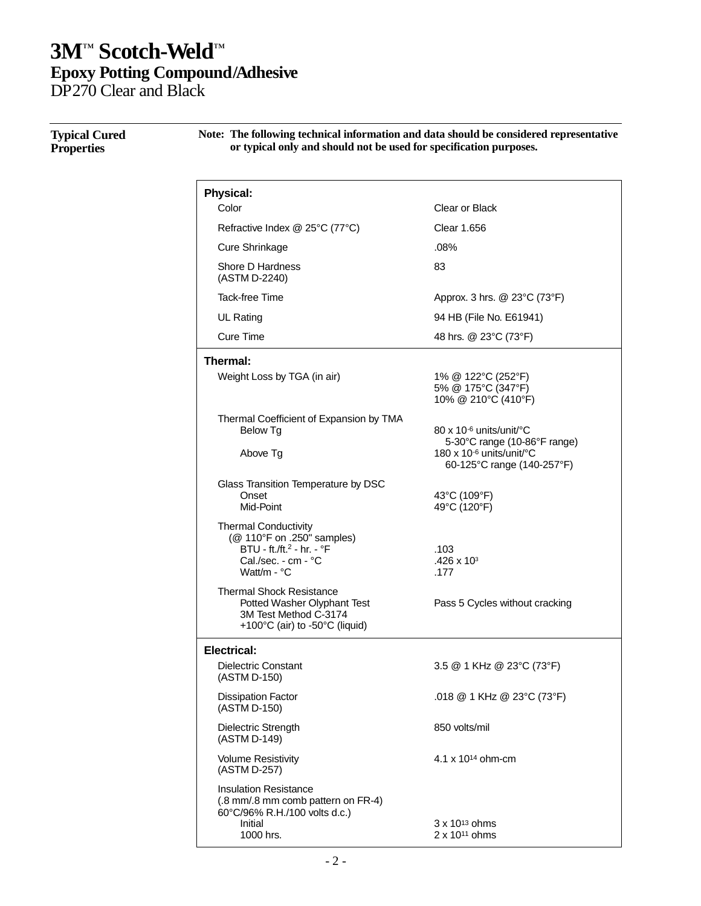DP270 Clear and Black

| <b>Typical Cured</b><br><b>Properties</b> | Note: The following technical information and data should be considered representative<br>or typical only and should not be used for specification purposes. |                                                                 |  |
|-------------------------------------------|--------------------------------------------------------------------------------------------------------------------------------------------------------------|-----------------------------------------------------------------|--|
|                                           | <b>Physical:</b><br>Color                                                                                                                                    | Clear or Black                                                  |  |
|                                           |                                                                                                                                                              |                                                                 |  |
|                                           | Refractive Index @ 25°C (77°C)                                                                                                                               | <b>Clear 1.656</b>                                              |  |
|                                           | <b>Cure Shrinkage</b>                                                                                                                                        | .08%                                                            |  |
|                                           | Shore D Hardness<br>(ASTM D-2240)                                                                                                                            | 83                                                              |  |
|                                           | Tack-free Time                                                                                                                                               | Approx. 3 hrs. @ 23°C (73°F)                                    |  |
|                                           | UL Rating                                                                                                                                                    | 94 HB (File No. E61941)                                         |  |
|                                           | <b>Cure Time</b>                                                                                                                                             | 48 hrs. @ 23°C (73°F)                                           |  |
|                                           | Thermal:                                                                                                                                                     |                                                                 |  |
|                                           | Weight Loss by TGA (in air)                                                                                                                                  | 1% @ 122°C (252°F)<br>5% @ 175°C (347°F)<br>10% @ 210°C (410°F) |  |
|                                           | Thermal Coefficient of Expansion by TMA<br>Below Tg                                                                                                          | 80 x 10-6 units/unit/°C<br>5-30°C range (10-86°F range)         |  |
|                                           | Above Tg                                                                                                                                                     | 180 x 10-6 units/unit/°C<br>60-125°C range (140-257°F)          |  |
|                                           | Glass Transition Temperature by DSC<br>Onset<br>Mid-Point                                                                                                    | 43°C (109°F)<br>49°C (120°F)                                    |  |
|                                           | <b>Thermal Conductivity</b><br>(@ 110°F on .250" samples)<br>BTU - ft./ft. <sup>2</sup> - hr. - °F<br>Cal./sec. - cm - °C<br>Watt/m - °C                     | .103<br>$.426 \times 10^{3}$<br>.177                            |  |
|                                           | <b>Thermal Shock Resistance</b><br>Potted Washer Olyphant Test<br>3M Test Method C-3174<br>+100°C (air) to -50°C (liquid)                                    | Pass 5 Cycles without cracking                                  |  |
|                                           | <b>Electrical:</b>                                                                                                                                           |                                                                 |  |
|                                           | <b>Dielectric Constant</b><br>(ASTM D-150)                                                                                                                   | 3.5 @ 1 KHz @ 23°C (73°F)                                       |  |
|                                           | <b>Dissipation Factor</b><br>(ASTM D-150)                                                                                                                    | .018 @ 1 KHz @ 23°C (73°F)                                      |  |
|                                           | Dielectric Strength<br>(ASTM D-149)                                                                                                                          | 850 volts/mil                                                   |  |
|                                           | <b>Volume Resistivity</b><br>(ASTM D-257)                                                                                                                    | 4.1 x 10 <sup>14</sup> ohm-cm                                   |  |
|                                           | <b>Insulation Resistance</b><br>(.8 mm/.8 mm comb pattern on FR-4)<br>60°C/96% R.H./100 volts d.c.)<br>Initial<br>1000 hrs.                                  | $3 \times 10^{13}$ ohms<br>2 x 10 <sup>11</sup> ohms            |  |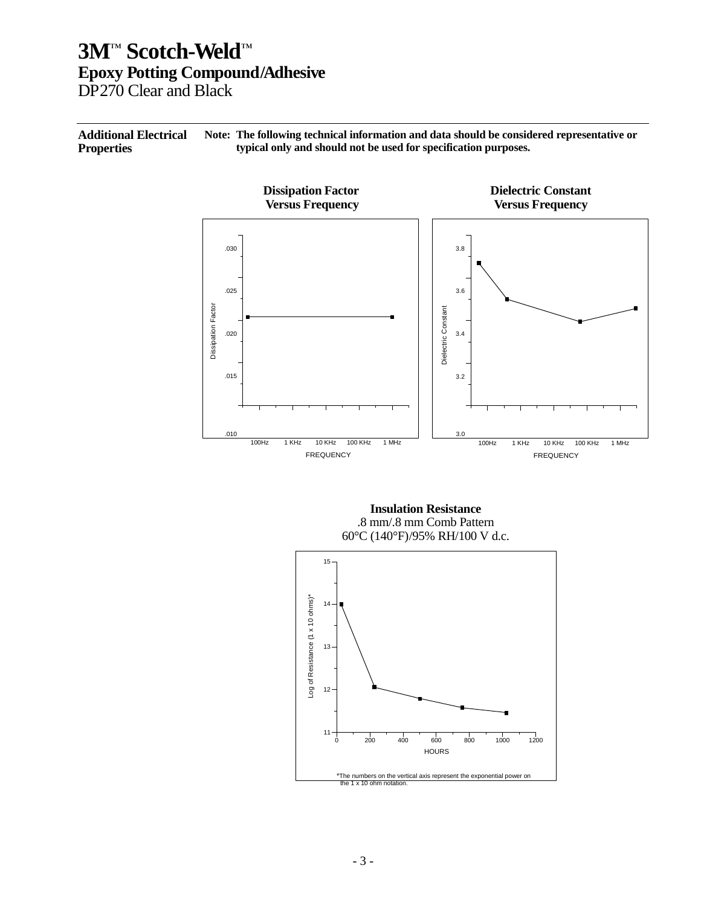DP270 Clear and Black

**Additional Electrical Properties Note: The following technical information and data should be considered representative or typical only and should not be used for specification purposes.**



**Insulation Resistance** .8 mm/.8 mm Comb Pattern 60°C (140°F)/95% RH/100 V d.c.

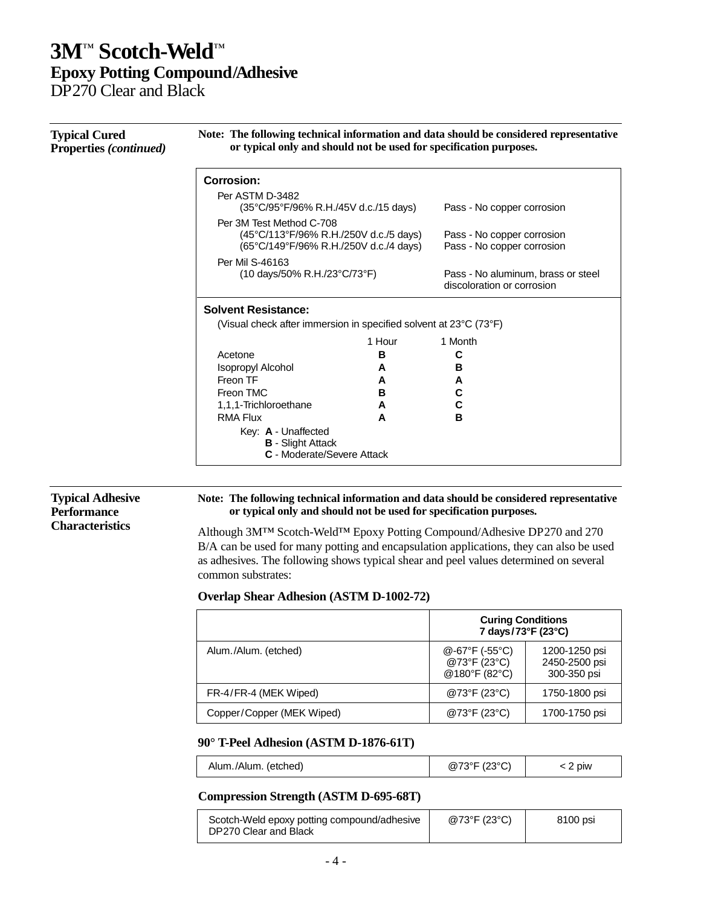### **3M**™ **Scotch-Weld** ™ **Epoxy Potting Compound/Adhesive** DP270 Clear and Black

**Typical Cured Properties** *(continued)* **Note: The following technical information and data should be considered representative or typical only and should not be used for specification purposes. Corrosion:** Per ASTM D-3482 (35°C/95°F/96% R.H./45V d.c./15 days) Pass - No copper corrosion Per 3M Test Method C-708 (45°C/113°F/96% R.H./250V d.c./5 days) Pass - No copper corrosion<br>(65°C/149°F/96% R.H./250V d.c./4 days) Pass - No copper corrosion (65°C/149°F/96% R.H./250V d.c./4 days) Per Mil S-46163<br>(10 days/50% R.H./23°C/73°F) Pass - No aluminum, brass or steel discoloration or corrosion **Solvent Resistance:** (Visual check after immersion in specified solvent at 23°C (73°F) Acetone 1 Hour **B** 1 Month **C** Isopropyl Alcohol **A B** Freon TF **A A** Freon TMC **B C** 1,1,1-Trichloroethane **A C** RMA Flux **A B** Key: **A** - Unaffected **B** - Slight Attack **C** - Moderate/Severe Attack

#### **Typical Adhesive Performance Characteristics**

#### **Note: The following technical information and data should be considered representative or typical only and should not be used for specification purposes.**

Although 3M™ Scotch-Weld™ Epoxy Potting Compound/Adhesive DP270 and 270 B/A can be used for many potting and encapsulation applications, they can also be used as adhesives. The following shows typical shear and peel values determined on several common substrates:

#### **Overlap Shear Adhesion (ASTM D-1002-72)**

|                           | <b>Curing Conditions</b><br>7 days/73°F (23°C)                 |                                               |
|---------------------------|----------------------------------------------------------------|-----------------------------------------------|
| Alum./Alum. (etched)      | $@-67^{\circ}F(-55^{\circ}C)$<br>@73°F (23°C)<br>@180°F (82°C) | 1200-1250 psi<br>2450-2500 psi<br>300-350 psi |
| FR-4/FR-4 (MEK Wiped)     | @73°F (23°C)                                                   | 1750-1800 psi                                 |
| Copper/Copper (MEK Wiped) | @73°F (23°C)                                                   | 1700-1750 psi                                 |

#### **90° T-Peel Adhesion (ASTM D-1876-61T)**

| Alum./Alum. (etched) | (230C)<br>@73°F | piw |
|----------------------|-----------------|-----|
|----------------------|-----------------|-----|

#### **Compression Strength (ASTM D-695-68T)**

| Scotch-Weld epoxy potting compound/adhesive<br>DP270 Clear and Black | @73°F (23°C) | 8100 psi |
|----------------------------------------------------------------------|--------------|----------|
|                                                                      |              |          |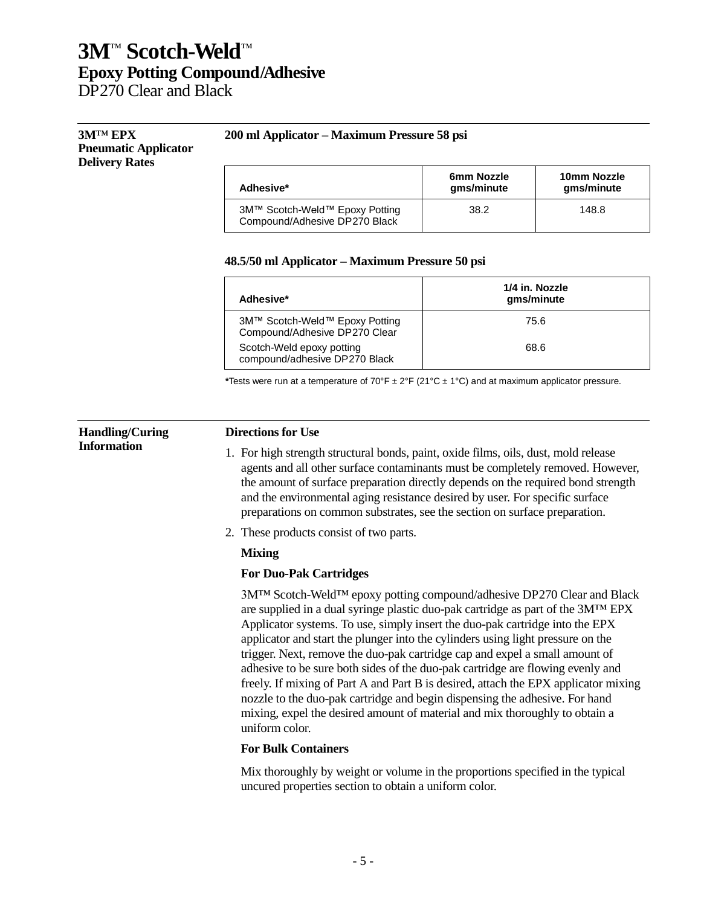DP270 Clear and Black

#### **3M**™ **EPX Pneumatic Applicator Delivery Rates**

#### **200 ml Applicator – Maximum Pressure 58 psi**

| Adhesive*                                                       | 6mm Nozzle<br>gms/minute | 10mm Nozzle<br>gms/minute |
|-----------------------------------------------------------------|--------------------------|---------------------------|
| 3M™ Scotch-Weld™ Epoxy Potting<br>Compound/Adhesive DP270 Black | 38.2                     | 148.8                     |

#### **48.5/50 ml Applicator – Maximum Pressure 50 psi**

| Adhesive*                                                       | 1/4 in. Nozzle<br>gms/minute |
|-----------------------------------------------------------------|------------------------------|
| 3M™ Scotch-Weld™ Epoxy Potting<br>Compound/Adhesive DP270 Clear | 75.6                         |
| Scotch-Weld epoxy potting<br>compound/adhesive DP270 Black      | 68.6                         |

**\***Tests were run at a temperature of 70°F ± 2°F (21°C ± 1°C) and at maximum applicator pressure.

#### **Handling/Curing Information**

#### **Directions for Use**

- 1. For high strength structural bonds, paint, oxide films, oils, dust, mold release agents and all other surface contaminants must be completely removed. However, the amount of surface preparation directly depends on the required bond strength and the environmental aging resistance desired by user. For specific surface preparations on common substrates, see the section on surface preparation.
- 2. These products consist of two parts.

#### **Mixing**

#### **For Duo-Pak Cartridges**

3M™ Scotch-Weld™ epoxy potting compound/adhesive DP270 Clear and Black are supplied in a dual syringe plastic duo-pak cartridge as part of the 3M™ EPX Applicator systems. To use, simply insert the duo-pak cartridge into the EPX applicator and start the plunger into the cylinders using light pressure on the trigger. Next, remove the duo-pak cartridge cap and expel a small amount of adhesive to be sure both sides of the duo-pak cartridge are flowing evenly and freely. If mixing of Part A and Part B is desired, attach the EPX applicator mixing nozzle to the duo-pak cartridge and begin dispensing the adhesive. For hand mixing, expel the desired amount of material and mix thoroughly to obtain a uniform color.

#### **For Bulk Containers**

Mix thoroughly by weight or volume in the proportions specified in the typical uncured properties section to obtain a uniform color.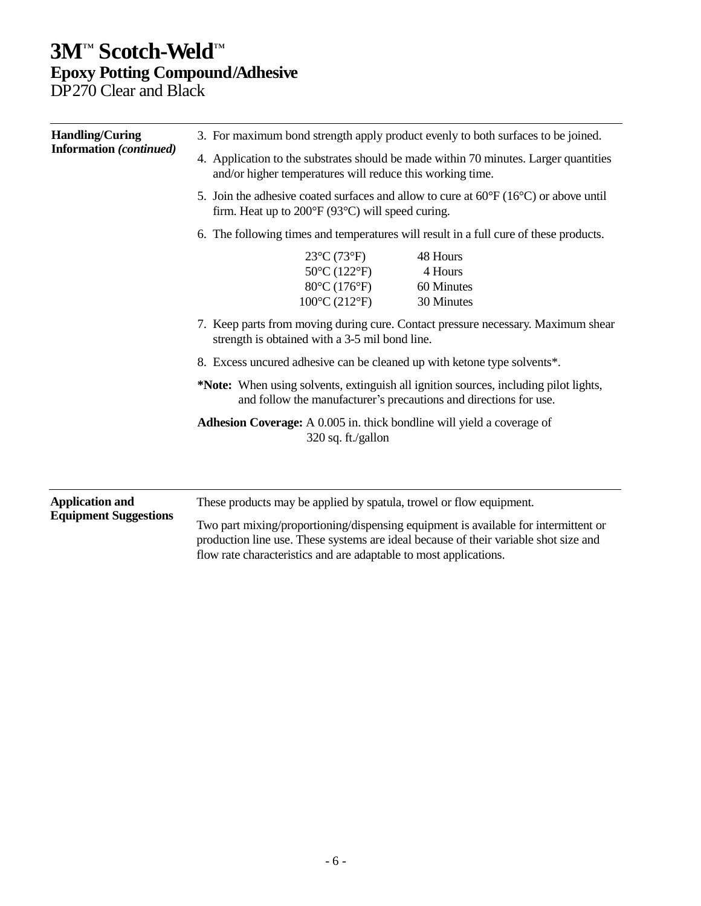DP270 Clear and Black

| <b>Handling/Curing</b><br><b>Information</b> (continued)                                                                                                                                                                                                                                                                                                                                                                                                                           | 3. For maximum bond strength apply product evenly to both surfaces to be joined.<br>4. Application to the substrates should be made within 70 minutes. Larger quantities<br>and/or higher temperatures will reduce this working time.<br>5. Join the adhesive coated surfaces and allow to cure at $60^{\circ}F(16^{\circ}C)$ or above until<br>firm. Heat up to $200^{\circ}F(93^{\circ}C)$ will speed curing.<br>6. The following times and temperatures will result in a full cure of these products. |  |                                                                                                                                                                                                                                                  |                                                        |
|------------------------------------------------------------------------------------------------------------------------------------------------------------------------------------------------------------------------------------------------------------------------------------------------------------------------------------------------------------------------------------------------------------------------------------------------------------------------------------|----------------------------------------------------------------------------------------------------------------------------------------------------------------------------------------------------------------------------------------------------------------------------------------------------------------------------------------------------------------------------------------------------------------------------------------------------------------------------------------------------------|--|--------------------------------------------------------------------------------------------------------------------------------------------------------------------------------------------------------------------------------------------------|--------------------------------------------------------|
|                                                                                                                                                                                                                                                                                                                                                                                                                                                                                    |                                                                                                                                                                                                                                                                                                                                                                                                                                                                                                          |  |                                                                                                                                                                                                                                                  |                                                        |
|                                                                                                                                                                                                                                                                                                                                                                                                                                                                                    |                                                                                                                                                                                                                                                                                                                                                                                                                                                                                                          |  |                                                                                                                                                                                                                                                  | <b>Application and</b><br><b>Equipment Suggestions</b> |
| 7. Keep parts from moving during cure. Contact pressure necessary. Maximum shear<br>strength is obtained with a 3-5 mil bond line.<br>8. Excess uncured adhesive can be cleaned up with ketone type solvents*.<br>*Note: When using solvents, extinguish all ignition sources, including pilot lights,<br>and follow the manufacturer's precautions and directions for use.<br><b>Adhesion Coverage:</b> A 0.005 in. thick bondline will yield a coverage of<br>320 sq. ft./gallon |                                                                                                                                                                                                                                                                                                                                                                                                                                                                                                          |  |                                                                                                                                                                                                                                                  |                                                        |
|                                                                                                                                                                                                                                                                                                                                                                                                                                                                                    |                                                                                                                                                                                                                                                                                                                                                                                                                                                                                                          |  |                                                                                                                                                                                                                                                  |                                                        |
|                                                                                                                                                                                                                                                                                                                                                                                                                                                                                    |                                                                                                                                                                                                                                                                                                                                                                                                                                                                                                          |  | These products may be applied by spatula, trowel or flow equipment.                                                                                                                                                                              |                                                        |
|                                                                                                                                                                                                                                                                                                                                                                                                                                                                                    |                                                                                                                                                                                                                                                                                                                                                                                                                                                                                                          |  | Two part mixing/proportioning/dispensing equipment is available for intermittent or<br>production line use. These systems are ideal because of their variable shot size and<br>flow rate characteristics and are adaptable to most applications. |                                                        |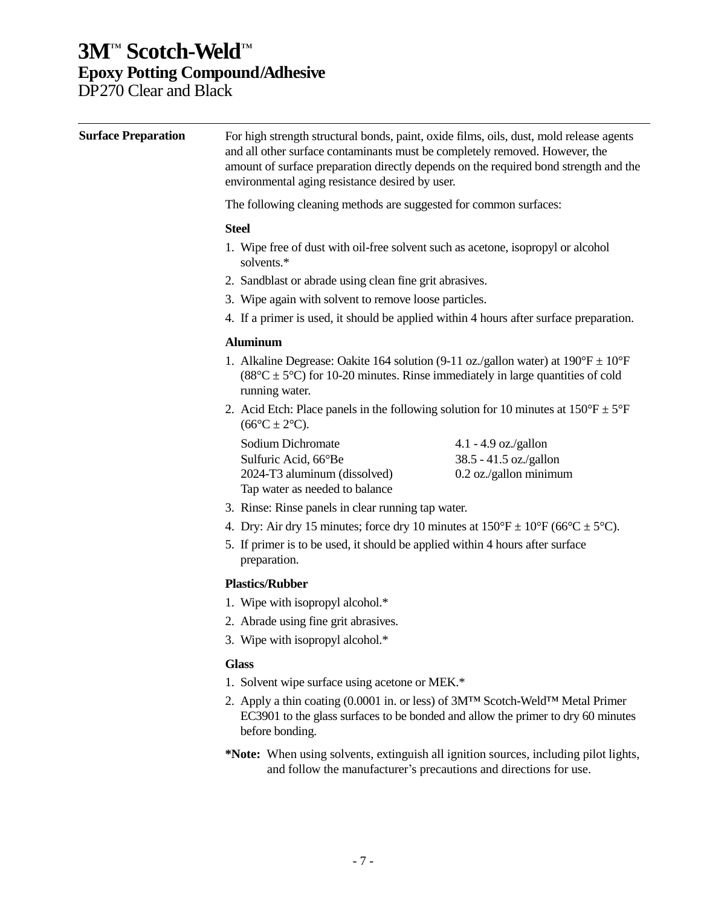DP270 Clear and Black

| <b>Surface Preparation</b> | For high strength structural bonds, paint, oxide films, oils, dust, mold release agents<br>and all other surface contaminants must be completely removed. However, the<br>amount of surface preparation directly depends on the required bond strength and the<br>environmental aging resistance desired by user. |                                                                                  |  |
|----------------------------|-------------------------------------------------------------------------------------------------------------------------------------------------------------------------------------------------------------------------------------------------------------------------------------------------------------------|----------------------------------------------------------------------------------|--|
|                            | The following cleaning methods are suggested for common surfaces:                                                                                                                                                                                                                                                 |                                                                                  |  |
|                            | <b>Steel</b>                                                                                                                                                                                                                                                                                                      |                                                                                  |  |
|                            | 1. Wipe free of dust with oil-free solvent such as acetone, isopropyl or alcohol<br>solvents.*                                                                                                                                                                                                                    |                                                                                  |  |
|                            | 2. Sandblast or abrade using clean fine grit abrasives.                                                                                                                                                                                                                                                           |                                                                                  |  |
|                            | 3. Wipe again with solvent to remove loose particles.                                                                                                                                                                                                                                                             |                                                                                  |  |
|                            | 4. If a primer is used, it should be applied within 4 hours after surface preparation.                                                                                                                                                                                                                            |                                                                                  |  |
|                            | <b>Aluminum</b>                                                                                                                                                                                                                                                                                                   |                                                                                  |  |
|                            | 1. Alkaline Degrease: Oakite 164 solution (9-11 oz./gallon water) at $190^{\circ}F \pm 10^{\circ}F$<br>$(88^{\circ}C \pm 5^{\circ}C)$ for 10-20 minutes. Rinse immediately in large quantities of cold<br>running water.                                                                                          |                                                                                  |  |
|                            | 2. Acid Etch: Place panels in the following solution for 10 minutes at $150^{\circ}F \pm 5^{\circ}F$<br>$(66^{\circ}C \pm 2^{\circ}C).$                                                                                                                                                                           |                                                                                  |  |
|                            | Sodium Dichromate<br>Sulfuric Acid, 66°Be<br>2024-T3 aluminum (dissolved)<br>Tap water as needed to balance                                                                                                                                                                                                       | 4.1 - 4.9 oz./gallon<br>38.5 - 41.5 oz./gallon<br>0.2 oz./gallon minimum         |  |
|                            | 3. Rinse: Rinse panels in clear running tap water.                                                                                                                                                                                                                                                                |                                                                                  |  |
|                            | 4. Dry: Air dry 15 minutes; force dry 10 minutes at $150^{\circ}F \pm 10^{\circ}F$ (66 $^{\circ}C \pm 5^{\circ}C$ ).                                                                                                                                                                                              |                                                                                  |  |
|                            | 5. If primer is to be used, it should be applied within 4 hours after surface<br>preparation.                                                                                                                                                                                                                     |                                                                                  |  |
|                            | <b>Plastics/Rubber</b>                                                                                                                                                                                                                                                                                            |                                                                                  |  |
|                            | 1. Wipe with isopropyl alcohol.*                                                                                                                                                                                                                                                                                  |                                                                                  |  |
|                            | 2. Abrade using fine grit abrasives.                                                                                                                                                                                                                                                                              |                                                                                  |  |
|                            | 3. Wipe with isopropyl alcohol.*                                                                                                                                                                                                                                                                                  |                                                                                  |  |
|                            | <b>Glass</b>                                                                                                                                                                                                                                                                                                      |                                                                                  |  |
|                            | 1. Solvent wipe surface using acetone or MEK.*                                                                                                                                                                                                                                                                    |                                                                                  |  |
|                            | 2. Apply a thin coating (0.0001 in. or less) of 3M™ Scotch-Weld™ Metal Primer<br>before bonding.                                                                                                                                                                                                                  | EC3901 to the glass surfaces to be bonded and allow the primer to dry 60 minutes |  |

**\*Note:** When using solvents, extinguish all ignition sources, including pilot lights, and follow the manufacturer's precautions and directions for use.